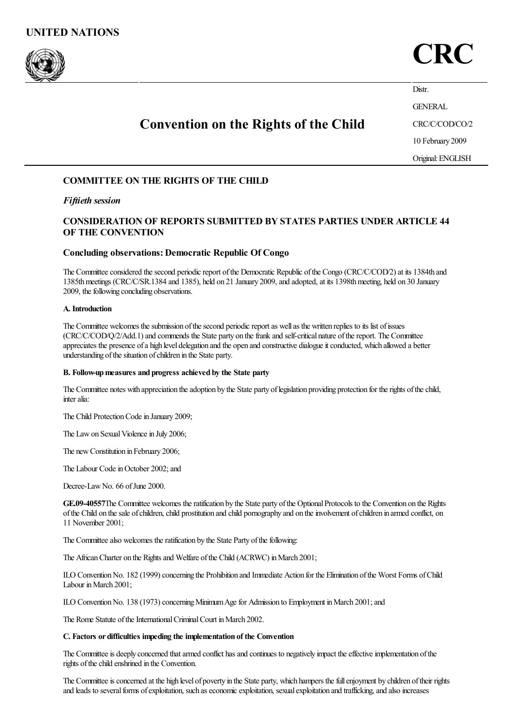

# CRC

Distr.

GENERAL

## Convention on the Rights of the Child

CRC/C/COD/CO/2 10 February 2009

Original:ENGLISH

## COMMITTEE ON THE RIGHTS OF THE CHILD

## *Fiftieth session*

## CONSIDERATION OF REPORTS SUBMITTED BY STATES PARTIES UNDER ARTICLE 44 OF THE CONVENTION

## Concluding observations:Democratic Republic Of Congo

The Committee considered the second periodic report of the Democratic Republic of the Congo (CRC/C/COD/2) at its 1384th and 1385thmeetings (CRC/C/SR.1384 and 1385), held on 21 January 2009,and adopted,at its 1398thmeeting, held on 30 January 2009, the following concluding observations.

#### A. Introduction

The Committee welcomes the submission of the second periodic report as well as the written replies to its list of issues (CRC/C/COD/O/2/Add.1) and commends the State party on the frank and self-critical nature of the report. The Committee appreciates the presence of a high level delegation and the open and constructive dialogue it conducted, which allowed a better understanding of the situation of children in the State party.

## B. Follow-up measures and progress achieved by the State party

The Committee notes with appreciation the adoption by the State party of legislation providing protection for the rights of the child, interalia:

The Child Protection Code in January 2009;

The Law on Sexual Violence in July 2006;

The new Constitution in February 2006;

The Labour Code in October 2002; and

Decree-Law No. 66 of June 2000.

GE.09-40557The Committee welcomes the ratification by the State party of the Optional Protocols to the Convention on the Rights of the Child on the sale of children, child prostitution and child pornography and on the involvement of children in armed conflict, on 11 November 2001;

The Committee also welcomes the ratification by the State Party of the following:

The African Charter on the Rights and Welfare of the Child (ACRWC) in March 2001;

ILO Convention No. 182 (1999) concerning the Prohibition and Immediate Action for the Elimination of the Worst Forms of Child Labour inMarch 2001;

ILO Convention No. 138 (1973) concerning Minimum Age for Admission to Employment in March 2001; and

The Rome Statute of the International Criminal Court in March 2002.

#### C. Factors or difficulties impeding the implementation of the Convention

The Committee is deeply concerned that armed conflict has and continues to negatively impact the effective implementation of the rights of the child enshrined in the Convention.

The Committee is concerned at the high level of poverty in the State party, which hampers the full enjoyment by children of their rights and leads to several forms of exploitation, such as economic exploitation, sexual exploitation and trafficking, and also increases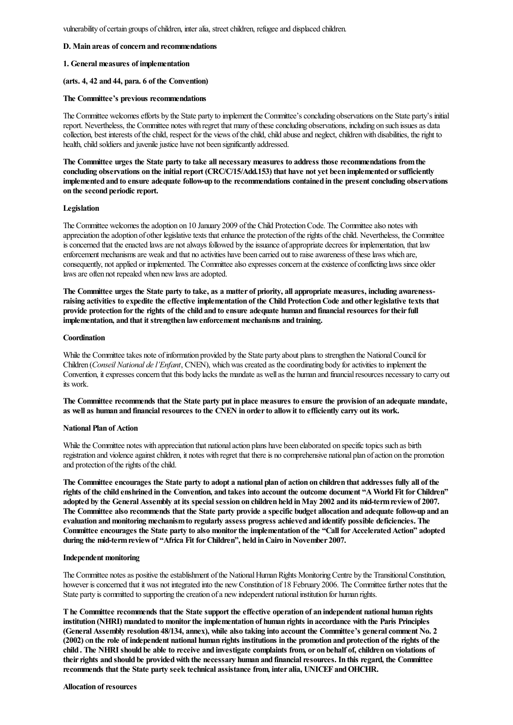vulnerability of certain groups of children, inter alia, street children, refugee and displaced children.

#### D. Main areas of concern and recommendations

#### 1. General measures of implementation

#### (arts. 4, 42 and 44, para. 6 of the Convention)

#### The Committee's previous recommendations

The Committee welcomes efforts by the State party to implement the Committee's concluding observations on the State party's initial report. Nevertheless, the Committee notes with regret that many of these concluding observations, including on such issues as data collection, best interests of the child, respect for the views of the child, child abuse and neglect, children with disabilities, the right to health, child soldiers and juvenile justice have not been significantly addressed.

The Committee urges the State party to take all necessary measures to address those recommendations fromthe concluding observations on the initial report (CRC/C/15/Add.153) that have not yet been implemented or sufficiently implemented and to ensure adequate follow-up to the recommendations contained in the present concluding observations on the second periodic report.

#### Legislation

The Committee welcomes the adoption on 10 January 2009 of the Child Protection Code. The Committee also notes with appreciation the adoption of other legislative texts that enhance the protection of the rights of the child. Nevertheless, the Committee is concerned that the enacted laws are not always followed by the issuance of appropriate decrees for implementation, that law enforcement mechanisms are weak and that no activities have been carried out to raise awareness of these laws which are, consequently, not applied or implemented. The Committee also expresses concern at the existence of conflicting laws since older laws are often not repealed when new laws are adopted.

The Committee urges the State party to take, as a matter of priority, all appropriate measures, including awarenessraising activities to expedite the effective implementation of the Child Protection Code and other legislative texts that provide protection for the rights of the child and to ensure adequate human and financial resources for their full implementation, and that it strengthen lawenforcement mechanisms and training.

#### **Coordination**

While the Committee takes note of information provided by the State party about plans to strengthen the National Council for Children (*Conseil National del'Enfant*, CNEN), whichwascreated as thecoordinating body foractivities to implement the Convention, it expresses concern that this body lacks the mandate as well as the human and financial resources necessary to carry out its work.

The Committee recommends that the State party put in place measures to ensure the provision of an adequate mandate, as well as human and financial resources to the CNEN in order to allow it to efficiently carry out its work.

#### National Plan of Action

While the Committee notes with appreciation that national action plans have been elaborated on specific topics such as birth registration and violence against children, it notes with regret that there is no comprehensive national plan of action on the promotion and protection of the rights of the child.

The Committee encourages the State party to adopt a national plan of action on children that addresses fully all of the rights of the child enshrined in the Convention, and takes into account the outcome document "A World Fit for Children" adopted by the General Assembly at its special session on children held in May 2002 and its mid-term review of 2007. The Committee also recommends that the State party provide a specific budget allocation and adequate follow-up and an evaluation andmonitoring mechanismto regularly assess progress achieved and identify possible deficiencies. The Committee encourages the State party to also monitor the implementation of the "Call for Accelerated Action" adopted during the mid-term review of "Africa Fit for Children", held in Cairo in November 2007.

#### Independent monitoring

The Committee notes as positive the establishment of the National Human Rights Monitoring Centre by the Transitional Constitution, however is concerned that it was not integrated into the new Constitution of 18 February 2006. The Committee further notes that the State party is committed to supporting the creation of a new independent national institution for human rights.

The Committee recommends that the State support the effective operation of an independent national human rights institution (NHRI) mandated to monitor the implementation of human rights in accordance with the Paris Principles (General Assembly resolution 48/134, annex), while also taking into account the Committee's general comment No. 2 (2002) on the role of independent national human rights institutions in the promotion and protection of the rights of the child . The NHRI should be able to receive and investigate complaints from, or on behalf of,children on violations of their rights and should be provided with the necessary human and financial resources. In this regard, the Committee recommends that the State party seek technical assistance from, inter alia, UNICEF and OHCHR.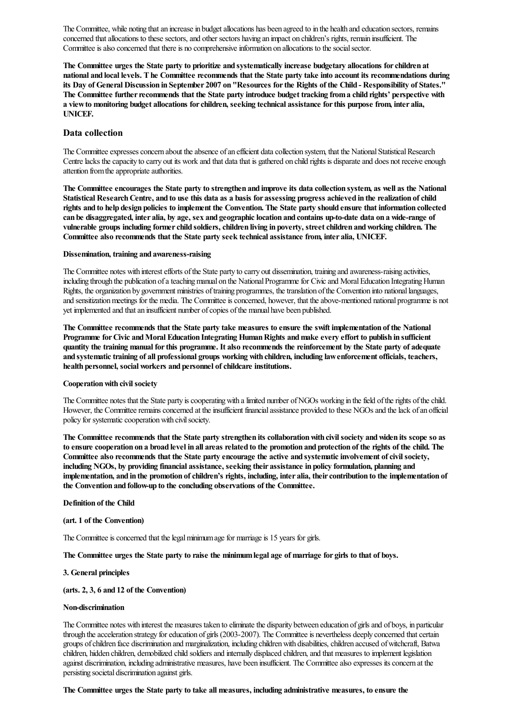The Committee, while noting that an increase in budget allocations has been agreed to in the health and education sectors, remains concerned that allocations to these sectors, and other sectors having an impact on children's rights, remain insufficient. The Committee is also concerned that there is no comprehensive information on allocations to the social sector.

The Committee urges the State party to prioritize and systematically increase budgetary allocations forchildren at national and local levels. The Committee recommends that the State party take into account its recommendations during its Day of General Discussion in September 2007 on "Resources forthe Rights of the Child - Responsibility of States." The Committee further recommends that the State party introduce budget tracking from a child rights' perspective with a viewto monitoring budget allocations forchildren, seeking technical assistance forthis purpose from, inter alia, UNICEF.

## Data collection

The Committee expresses concern about the absence of an efficient data collection system, that the National Statistical Research Centre lacks the capacity to carry out its work and that data that is gathered on child rights is disparate and does not receive enough attention from the appropriate authorities.

The Committee encourages the State party to strengthen and improve its data collection system, as well as the National Statistical Research Centre, and to use this data as a basis for assessing progress achieved in the realization of child rights and to help design policies to implement the Convention. The State party should ensure that information collected can be disaggregated, inter alia, by age, sex and geographic location and contains up-to-date data on a wide-range of vulnerable groups including former child soldiers, children living in poverty, street children and working children. The Committee also recommends that the State party seek technical assistance from, inter alia, UNICEF.

#### Dissemination, training and awareness-raising

The Committee notes with interest efforts of the State party to carry out dissemination, training and awareness-raising activities, including through the publication of a teaching manual on the National Programme for Civic and Moral Education Integrating Human Rights, the organization by government ministries of training programmes, the translation of the Convention into national languages, and sensitization meetings for the media. The Committee is concerned, however, that the above-mentioned national programme is not yet implemented and that an insufficient number of copies of the manual have been published.

The Committee recommends that the State party take measures to ensure the swift implementation of the National Programme for Civic and Moral Education Integrating Human Rights and make every effort to publish in sufficient quantity the training manual forthis programme. It also recommends the reinforcement by the State party of adequate and systematictraining of all professional groups working with children, including lawenforcement officials, teachers, health personnel, social workers and personnel of childcare institutions.

#### Cooperation with civil society

The Committee notes that the State party is cooperating with a limited number of NGOs working in the field of the rights of the child. However, the Committee remains concerned at the insufficient financial assistance provided to these NGOs and the lack of an official policy for systematic cooperation with civil society.

The Committee recommends that the State party strengthen its collaborationwith civilsociety andwiden its scope so as to ensure cooperation on a broad level in all areas related to the promotion and protection of the rights of the child. The Committee also recommends that the State party encourage the active and systematic involvement of civil society, including NGOs, by providing financial assistance, seeking their assistance in policy formulation, planning and implementation, and in the promotion of children's rights, including, inter alia, their contribution to the implementation of the Convention and follow-up to the concluding observations of the Committee.

#### Definition of the Child

## (art. 1 of the Convention)

The Committee is concerned that the legal minimum age for marriage is 15 years for girls.

The Committee urges the State party to raise the minimumlegal age of marriage for girls to that of boys.

#### 3. General principles

## (arts. 2, 3, 6 and 12 of the Convention)

## Non-discrimination

The Committee notes with interest the measures taken to eliminate the disparity between education of girls and of boys, in particular through the acceleration strategy for education of girls (2003-2007). The Committee is nevertheless deeply concerned that certain groups of children face discrimination and marginalization, including children with disabilities, children accused of witchcraft, Batwa children, hidden children, demobilized child soldiers and internally displaced children, and that measures to implement legislation against discrimination, including administrative measures, have been insufficient. The Committee also expresses its concern at the persisting societal discrimination against girls.

The Committee urges the State party to take all measures, including administrative measures, to ensure the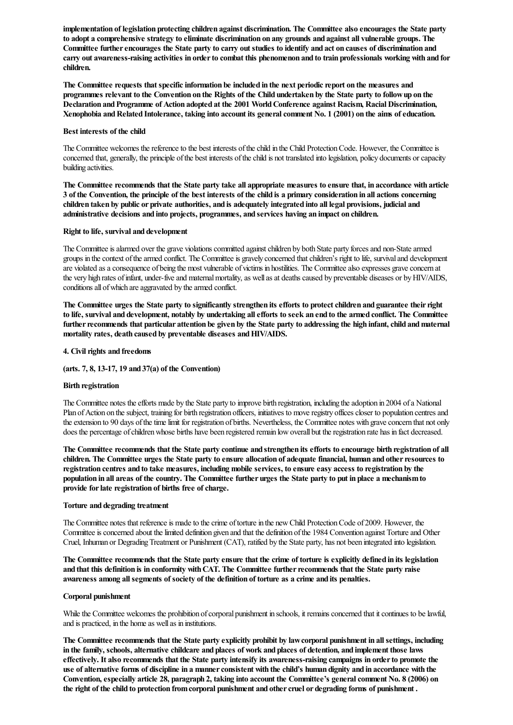implementation of legislation protecting children against discrimination. The Committee also encourages the State party to adopt a comprehensive strategy to eliminate discrimination on any grounds and against all vulnerable groups. The Committee further encourages the State party to carry out studies to identify and act on causes of discrimination and carry out awareness-raising activities in orderto combat this phenomenon and to train professionals working with and for children.

The Committee requests that specific information be included in the next periodic report on the measures and programmes relevant to the Convention on the Rights of the Child undertaken by the State party to followup on the Declaration and Programme of Action adopted at the 2001 World Conference against Racism, Racial Discrimination, Xenophobia and Related Intolerance, taking into account its general comment No. 1 (2001) on the aims of education.

#### Best interests of the child

The Committee welcomes the reference to the best interests of the child in the Child Protection Code. However, the Committee is concerned that, generally, the principle of the best interests of the child is not translated into legislation, policy documents or capacity building activities.

The Committee recommends that the State party take all appropriate measures to ensure that, in accordance with article 3 of the Convention, the principle of the best interests of the child is a primary consideration in all actions concerning children taken by public or private authorities, and is adequately integrated into all legal provisions, judicial and administrative decisions and into projects, programmes, and services having an impact on children.

#### Right to life, survival and development

The Committee is alarmed over the grave violations committed against children by both State party forces and non-State armed groups in thecontext ofthearmed conflict. The Committeeis gravely concerned thatchildren's right to life, survivaland development are violated as a consequence of being the most vulnerable of victims in hostilities. The Committee also expresses grave concern at the very high rates of infant, under-five and maternal mortality, as well as at deaths caused by preventable diseases or by HIV/AIDS, conditions all of which are aggravated by the armed conflict.

The Committee urges the State party to significantly strengthen its efforts to protect children and guarantee their right to life, survival and development, notably by undertaking allefforts to seek an end to the armed conflict. The Committee further recommends that particular attention be given by the State party to addressing the high infant, child and maternal mortality rates, death caused by preventable diseases and HIV/AIDS.

#### 4. Civil rights and freedoms

#### (arts. 7, 8, 13-17, 19 and 37(a) of the Convention)

#### Birth registration

The Committee notes the efforts made by the State party to improve birth registration, including the adoption in 2004 of a National Plan of Action on the subject, training for birth registration officers, initiatives to move registry offices closer to population centres and the extension to 90 days of the time limit for registration of births. Nevertheless, the Committee notes with grave concern that not only does the percentage of children whose births have been registered remain low overall but the registration rate has in fact decreased.

The Committee recommends that the State party continue and strengthen its efforts to encourage birth registration of all children. The Committee urges the State party to ensure allocation of adequate financial, human and other resources to registration centres and to take measures, including mobile services, to ensure easy access to registration by the population in all areas of the country. The Committee further urges the State party to put in place a mechanismto provide for late registration of births free of charge.

#### Torture and degrading treatment

The Committee notes that reference is made to the crime of torture in the new Child Protection Code of 2009. However, the Committee is concerned about the limited definition given and that the definition of the 1984 Convention against Torture and Other Cruel, Inhuman or DegradingTreatment or Punishment (CAT), ratified by the State party, has not been integrated into legislation.

The Committee recommends that the State party ensure that the crime of torture is explicitly defined in its legislation and that this definition is in conformity with CAT. The Committee further recommends that the State party raise awareness among allsegments of society of the definition of torture as a crime and its penalties.

#### Corporal punishment

While the Committee welcomes the prohibition of corporal punishment in schools, it remains concerned that it continues to be lawful, and is practiced, in the home as well as in institutions.

The Committee recommends that the State party explicitly prohibit by lawcorporal punishment in allsettings, including in the family, schools, alternative childcare and places of work and places of detention, and implement those laws effectively. It also recommends that the State party intensify its awareness-raising campaigns in orderto promote the use of alternative forms of discipline in a mannerconsistent with the child's human dignity and in accordance with the Convention, especially article 28, paragraph 2, taking into account the Committee's general comment No. 8 (2006) on the right of the child to protection from corporal punishment and other cruel or degrading forms of punishment.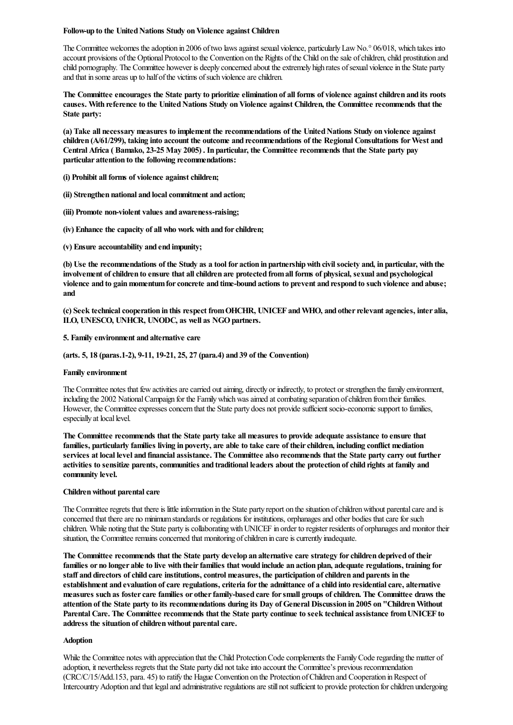#### Follow-up to the United Nations Study on Violence against Children

The Committee welcomes the adoption in 2006 of two laws against sexual violence, particularly Law No.<sup>°</sup> 06/018, which takes into account provisions of the Optional Protocol to the Convention on the Rights of the Child on the sale of children, child prostitution and child pornography. The Committee however is deeply concerned about the extremely high rates of sexual violence in the State party and that in some areas up to half of the victims of such violence are children.

The Committee encourages the State party to prioritize elimination of all forms of violence against children and its roots causes. With reference to the United Nations Study on Violence against Children, the Committee recommends that the State party:

(a) Take all necessary measures to implement the recommendations of the UnitedNations Study on violence against children (A/61/299), taking into account the outcome and recommendations of the Regional Consultations forWest and Central Africa ( Bamako, 23-25 May 2005) . In particular, the Committee recommends that the State party pay particular attention to the following recommendations:

(i) Prohibit all forms of violence against children;

(ii) Strengthen national and local commitment and action;

(iii) Promote non-violent values and awareness-raising;

(iv) Enhance the capacity of all who work with and forchildren;

(v) Ensure accountability and end impunity;

(b) Use the recommendations of the Study as a tool for action in partnershipwith civilsociety and, in particular, with the involvement of children to ensure that all children are protected from all forms of physical, sexual and psychological violence and to gain momentum for concrete and time-bound actions to prevent and respond to such violence and abuse; and

(c) Seek technical cooperation in this respect from OHCHR, UNICEF and WHO, and other relevant agencies, inter alia, ILO, UNESCO, UNHCR, UNODC, as well as NGOpartners.

#### 5. Family environment and alternative care

#### (arts. 5, 18 (paras.1-2), 9-11, 19-21, 25, 27 (para.4) and 39 of the Convention)

#### Family environment

The Committee notes that few activities are carried out aiming, directly or indirectly, to protect or strengthen the family environment, including the 2002 National Campaign for the Family which was aimed at combating separation of children from their families. However, the Committee expresses concern that the State party does not provide sufficient socio-economic support to families, especially at local level.

The Committee recommends that the State party take all measures to provide adequate assistance to ensure that families, particularly families living in poverty, are able to take care of their children, including conflict mediation services at local level and financial assistance. The Committee also recommends that the State party carry out further activities to sensitize parents, communities and traditional leaders about the protection of child rights at family and community level.

#### Children without parental care

The Committee regrets that there is little information in the State party report on the situation of children without parental care and is concerned that there are no minimum standards or regulations for institutions, orphanages and other bodies that care for such children. While noting that the State party is collaborating with UNICEF in order to register residents of orphanages and monitor their situation, the Committee remains concerned that monitoring of children in care is currently inadequate.

The Committee recommends that the State party develop an alternative care strategy forchildren deprived of their families or no longer able to live with their families that would include an action plan, adequate regulations, training for staff and directors of child care institutions, control measures, the participation of children and parents in the establishment and evaluation of care regulations, criteria for the admittance of a child into residential care, alternative measures such as foster care families or other family-based care for small groups of children. The Committee draws the attention of the State party to its recommendations during its Day of General Discussion in 2005 on "Children Without Parental Care. The Committee recommends that the State party continue to seek technical assistance fromUNICEF to address the situation of children without parental care.

#### Adoption

While the Committee notes with appreciation that the Child Protection Code complements the Family Code regarding the matter of adoption, it nevertheless regrets that the State party did not take into account the Committee's previous recommendation (CRC/C/15/Add.153, para. 45) to ratify the Hague Convention on the Protection of Children and Cooperation in Respect of Intercountry Adoption and that legal and administrative regulations are still not sufficient to provide protection for children undergoing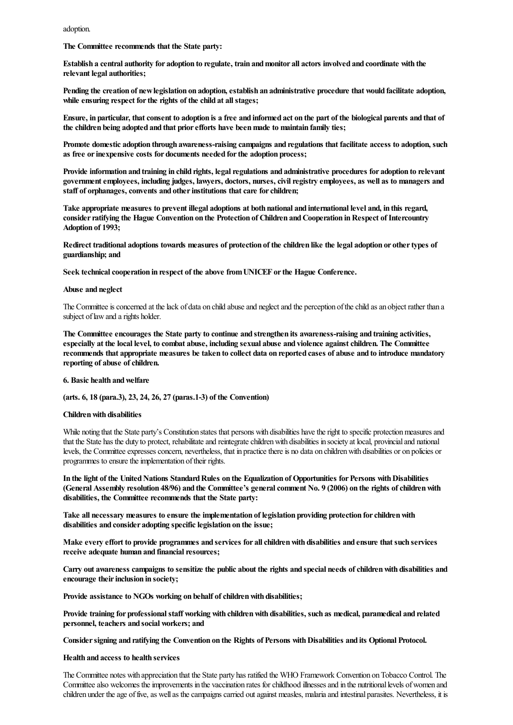adoption.

The Committee recommends that the State party:

Establish a central authority for adoption to regulate, train andmonitor all actors involved and coordinate with the relevant legal authorities;

Pending the creation of new legislation on adoption, establish an administrative procedure that would facilitate adoption, while ensuring respect for the rights of the child at all stages;

Ensure, in particular, thatconsent to adoption is a free and informed act on the part of the biological parents and that of the children being adopted and that prior efforts have been made to maintain family ties;

Promote domestic adoption through awareness-raising campaigns and regulations that facilitate access to adoption, such as free or inexpensive costs for documents needed for the adoption process;

Provide information and training in child rights, legal regulations and administrative procedures for adoption to relevant government employees, including judges, lawyers, doctors, nurses, civil registry employees, as well as to managers and staff of orphanages, convents and other institutions that care for children;

Take appropriate measures to prevent illegal adoptions at both national and international level and, in this regard, consider ratifying the Hague Convention on the Protection of Children and Cooperation in Respect of Intercountry Adoption of 1993;

Redirect traditional adoptions towards measures of protection of the children like the legal adoption or othertypes of guardianship; and

Seek technical cooperation in respect of the above from UNICEF or the Hague Conference.

#### Abuse and neglect

The Committee is concerned at the lack of data on child abuse and neglect and the perception of the child as an object rather than a subject of law and a rights holder.

The Committee encourages the State party to continue and strengthen its awareness-raising and training activities, especially at the local level, to combat abuse, including sexual abuse and violence against children. The Committee recommends that appropriate measures be taken to collect data on reported cases of abuse and to introduce mandatory reporting of abuse of children.

#### 6. Basic health andwelfare

(arts. 6, 18 (para.3), 23, 24, 26, 27 (paras.1-3) of the Convention)

#### Children with disabilities

While noting that the State party's Constitution states that persons with disabilities have the right to specific protection measures and that the State has the duty to protect, rehabilitate and reintegrate children with disabilities in society at local, provincial and national levels, the Committee expresses concern, nevertheless, that in practice there is no data on children with disabilities or on policies or programmes to ensure the implementation of their rights.

In the light of the United Nations Standard Rules on the Equalization of Opportunities for Persons with Disabilities (General Assembly resolution 48/96) and the Committee's general comment No. 9 (2006) on the rights of children with disabilities, the Committee recommends that the State party:

Take all necessary measures to ensure the implementation of legislation providing protection forchildrenwith disabilities and consider adopting specific legislation on the issue;

Make every effort to provide programmes and services for all children with disabilities and ensure that such services receive adequate human and financial resources;

Carry out awareness campaigns to sensitize the public about the rights and special needs ofchildrenwith disabilities and encourage their inclusion in society;

Provide assistance to NGOs working on behalf of children with disabilities;

Provide training for professional staff working with children with disabilities, such as medical, paramedical and related personnel, teachers and social workers; and

Consider signing and ratifying the Convention on the Rights of Persons with Disabilities and its Optional Protocol.

#### Health and access to health services

The Committee notes with appreciation that the State party has ratified the WHO Framework Convention onTobacco Control. The Committee also welcomes the improvements in the vaccination rates for childhood illnesses and in the nutritional levels of women and children under the age of five, as well as the campaigns carried out against measles, malaria and intestinal parasites. Nevertheless, it is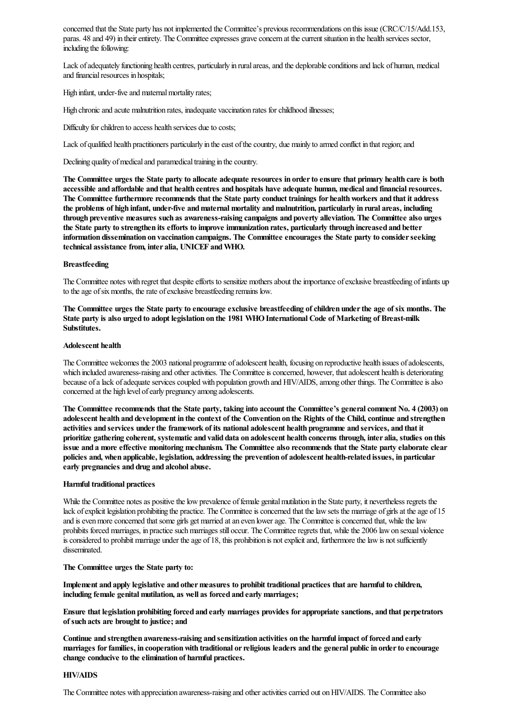concerned that the State party has not implemented the Committee's previous recommendations on this issue(CRC/C/15/Add.153, paras. 48 and 49) in their entirety. The Committee expresses grave concern at the current situation in the health services sector, including the following:

Lack of adequately functioning health centres, particularly in rural areas, and the deplorable conditions and lack of human, medical and financial resources in hospitals;

High infant, under-five and maternal mortality rates;

High chronic and acute malnutrition rates, inadequate vaccination rates for childhood illnesses;

Difficulty for children to access health services due to costs;

Lack of qualified health practitioners particularly in the east of the country, due mainly to armed conflict in that region; and

Declining quality of medical and paramedical training in the country.

The Committee urges the State party to allocate adequate resources in order to ensure that primary health care is both accessible and affordable and that health centres and hospitals have adequate human, medical and financial resources. The Committee furthermore recommends that the State party conduct trainings for healthworkers and that it address the problems of high infant, under-five and maternal mortality and malnutrition, particularly in rural areas, including through preventive measures such as awareness-raising campaigns and poverty alleviation. The Committee also urges the State party to strengthen its efforts to improve immunization rates, particularly through increased and better information dissemination on vaccination campaigns. The Committee encourages the State party to considerseeking technical assistance from, inter alia, UNICEF andWHO.

#### Breastfeeding

The Committee notes with regret that despite efforts to sensitize mothers about the importance of exclusive breastfeeding of infants up to the age of six months, the rate of exclusive breastfeeding remains low.

The Committee urges the State party to encourage exclusive breastfeeding of children under the age of six months. The State party is also urged to adopt legislation on the 1981 WHO International Code of Marketing of Breast-milk Substitutes.

#### Adolescent health

The Committee welcomes the 2003 national programme of adolescent health, focusing on reproductive health issues of adolescents, which included awareness-raising and other activities. The Committee is concerned, however, that adolescent health is deteriorating because of a lack of adequate services coupled with population growth and HIV/AIDS, among other things. The Committee is also concerned at the high level of early pregnancy among adolescents.

The Committee recommends that the State party, taking into account the Committee's general comment No. 4 (2003) on adolescent health and development in the context of the Convention on the Rights of the Child, continue and strengthen activities and services underthe framework of its national adolescent health programme and services, and that it prioritize gathering coherent, systematic and valid data on adolescent health concerns through, inter alia, studies on this issue and a more effective monitoring mechanism. The Committee also recommends that the State party elaborate clear policies and, when applicable, legislation, addressing the prevention of adolescent health-related issues, in particular early pregnancies and drug and alcohol abuse.

#### Harmful traditional practices

While the Committee notes as positive the low prevalence of female genital mutilation in the State party, it nevertheless regrets the lack of explicit legislation prohibiting the practice. The Committee is concerned that the law sets the marriage of girls at the age of 15 and is even more concerned that some girls get married at an even lower age. The Committee is concerned that, while the law prohibits forced marriages, in practice such marriages still occur. The Committee regrets that, while the 2006 law on sexual violence is considered to prohibit marriage under the age of 18, this prohibition is not explicit and, furthermore the law is not sufficiently disseminated.

#### The Committee urges the State party to:

Implement and apply legislative and other measures to prohibit traditional practices that are harmful to children, including female genital mutilation, as well as forced and early marriages;

Ensure that legislation prohibiting forced and early marriages provides for appropriate sanctions, and that perpetrators of such acts are brought to justice; and

Continue and strengthen awareness-raising and sensitization activities on the harmful impact of forced and early marriages for families, in cooperation with traditional or religious leaders and the general public in order to encourage change conducive to the elimination of harmful practices.

#### HIV/AIDS

The Committee notes with appreciation awareness-raising and otheractivitiescarried out onHIV/AIDS. The Committeealso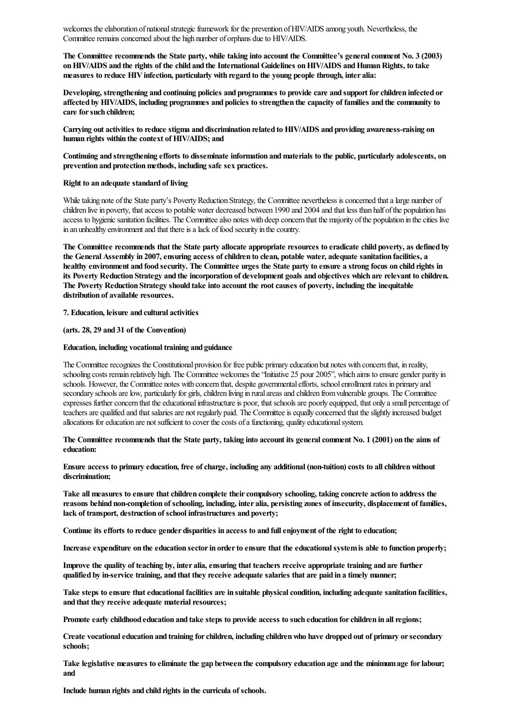welcomes the elaboration of national strategic framework for the prevention of HIV/AIDS among youth. Nevertheless, the Committee remains concerned about the high number of orphans due to HIV/AIDS.

The Committee recommends the State party, while taking into account the Committee's generalcomment No. 3 (2003) on HIV/AIDS and the rights of the child and the International Guidelines on HIV/AIDS and Human Rights, to take measures to reduce HIV infection, particularly with regard to the young people through, inter alia:

Developing, strengthening and continuing policies and programmes to provide care and support forchildren infected or affected by HIV/AIDS, including programmes and policies to strengthen the capacity of families and the community to care for such children;

Carrying out activities to reduce stigma and discrimination related to HIV/AIDS and providing awareness-raising on human rights within the context of HIV/AIDS; and

Continuing and strengthening efforts to disseminate information andmaterials to the public, particularly adolescents, on prevention and protection methods, including safe sex practices.

#### Right to an adequate standard of living

While taking note of the State party's Poverty Reduction Strategy, the Committee nevertheless is concerned that a large number of children live in poverty, that access to potable water decreased between 1990 and 2004 and that less than half of the population has access to hygienic sanitation facilities. The Committee also notes with deep concern that the majority of the population in the cities live in an unhealthy environment and that there is a lack of food security in the country.

The Committee recommends that the State party allocate appropriate resources to eradicate child poverty, as defined by the General Assembly in 2007, ensuring access of children to clean, potable water, adequate sanitation facilities, a healthy environment and food security. The Committee urges the State party to ensure a strong focus on child rights in its Poverty Reduction Strategy and the incorporation of development goals and objectives which are relevant to children. The Poverty Reduction Strategy should take into account the rootcauses of poverty, including the inequitable distribution of available resources.

7. Education, leisure and cultural activities

(arts. 28, 29 and 31 of the Convention)

#### Education, including vocational training and guidance

The Committee recognizes the Constitutional provision for free public primary education but notes with concern that, in reality, schooling costs remain relatively high. The Committee welcomes the "Initiative 25 pour 2005", which aims to ensure gender parity in schools. However, the Committee notes with concern that, despite governmentalefforts, schoolenrollment rates in primary and secondary schools are low, particularly for girls, children living in rural areas and children from vulnerable groups. The Committee expresses further concern that the educational infrastructure is poor, that schools are poorly equipped, that only a small percentage of teachers are qualified and that salaries are not regularly paid. The Committee is equally concerned that the slightly increased budget allocations foreducation are notsufficient to cover thecosts ofafunctioning, quality educationalsystem.

The Committee recommends that the State party, taking into account its generalcomment No. 1 (2001) on the aims of education:

Ensure access to primary education, free of charge, including any additional (non-tuition) costs to all children without discrimination;

Take all measures to ensure that children complete their compulsory schooling, taking concrete action to address the reasons behind non-completion of schooling, including, inter alia, persisting zones of insecurity, displacement of families, lack of transport, destruction of school infrastructures and poverty;

Continue its efforts to reduce gender disparities in access to and fullenjoyment of the right to education;

Increase expenditure on the education sector in order to ensure that the educational system is able to function properly;

Improve the quality of teaching by, inter alia, ensuring that teachers receive appropriate training and are further qualified by in-service training, and that they receive adequate salaries that are paid in a timely manner;

Take steps to ensure that educational facilities are in suitable physical condition, including adequate sanitation facilities, and that they receive adequate material resources;

Promote early childhood education and take steps to provide access to such education for children in all regions;

Create vocational education and training for children, including children who have dropped out of primary or secondary schools;

Take legislative measures to eliminate the gap between the compulsory education age and the minimum age for labour; and

Include human rights and child rights in the curricula of schools.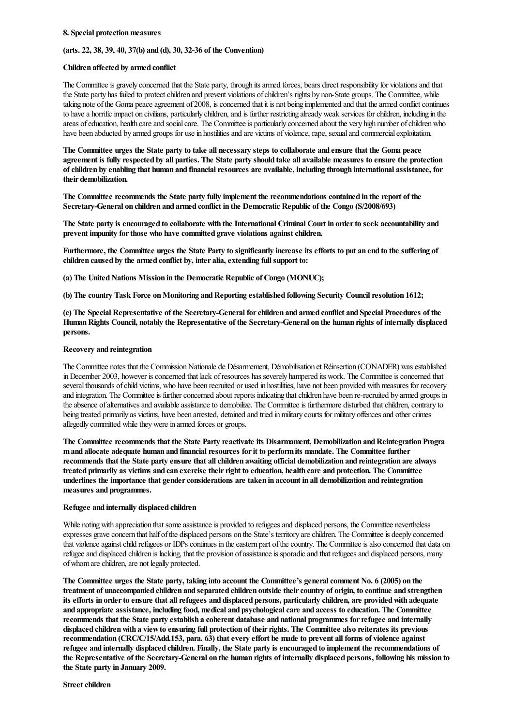#### 8. Special protection measures

#### (arts. 22, 38, 39, 40, 37(b) and (d), 30, 32-36 of the Convention)

#### Children affected by armed conflict

The Committee is gravely concerned that the State party, through its armed forces, bears direct responsibility for violations and that the State party has failed to protect children and prevent violations of children's rights by non-State groups. The Committee, while taking note of the Goma peace agreement of 2008, is concerned that it is not being implemented and that the armed conflict continues to have a horrific impact on civilians, particularly children, and is further restricting already weak services for children, including in the areas of education, health care and social care. The Committee is particularly concerned about the very high number of children who have been abducted by armed groups for use in hostilities and are victims of violence, rape, sexual and commercial exploitation.

The Committee urges the State party to take all necessary steps to collaborate and ensure that the Goma peace agreement is fully respected by all parties. The State party should take all available measures to ensure the protection of children by enabling that human and financial resources are available, including through international assistance, for their demobilization.

The Committee recommends the State party fully implement the recommendations contained in the report of the Secretary-General on children and armed conflict in the Democratic Republic of the Congo (S/2008/693)

The State party is encouraged to collaborate with the International Criminal Court in orderto seek accountability and prevent impunity for those who have committed grave violations against children.

Furthermore, the Committee urges the State Party to significantly increase its efforts to put an end to the suffering of children caused by the armed conflict by, inter alia, extending full support to:

(a) The United Nations Mission in the Democratic Republic of Congo (MONUC);

(b) The country Task Force on Monitoring and Reporting established following Security Council resolution 1612;

(c) The Special Representative of the Secretary-General forchildren and armed conflict and Special Procedures of the Human Rights Council, notably the Representative of the Secretary-General on the human rights of internally displaced persons.

#### Recovery and reintegration

The Committee notes that the Commission Nationale de Désarmement, Démobilisation et Réinsertion (CONADER) was established in December 2003, however is concerned that lack of resources has severely hampered its work. The Committee is concerned that several thousands of child victims, who have been recruited or used in hostilities, have not been provided with measures for recovery and integration. The Committee is further concerned about reports indicating that children have been re-recruited by armed groups in the absence of alternatives and available assistance to demobilize. The Committee is furthermore disturbed that children, contrary to being treated primarily as victims, have been arrested, detained and tried in military courts for military offences and other crimes allegedly committed while they were in armed forces or groups.

The Committee recommends that the State Party reactivate its Disarmament, Demobilization and Reintegration Progra m and allocate adequate human and financial resources for it to perform its mandate. The Committee further recommends that the State party ensure that allchildren awaiting official demobilization and reintegration are always treated primarily as victims and can exercise theirright to education, health care and protection. The Committee underlines the importance that gender considerations are taken in account in all demobilization and reintegration measures and programmes.

#### Refugee and internally displaced children

While noting with appreciation that some assistance is provided to refugees and displaced persons, the Committee nevertheless expresses grave concern that half of the displaced persons on the State's territory are children. The Committee is deeply concerned that violence against child refugees or IDPs continues in the eastern part of the country. The Committee is also concerned that data on refugee and displaced children is lacking, that the provision of assistance is sporadic and that refugees and displaced persons, many of whom are children, are not legally protected.

The Committee urges the State party, taking into account the Committee's generalcomment No. 6 (2005) on the treatment of unaccompanied children and separated children outside their country of origin, to continue and strengthen its efforts in order to ensure that all refugees and displaced persons, particularly children, are provided with adequate and appropriate assistance, including food, medical and psychological care and access to education. The Committee recommends that the State party establish a coherent database and national programmes forrefugee and internally displaced children with a view to ensuring full protection of their rights. The Committee also reiterates its previous recommendation (CRC/C/15/Add.153, para. 63) that every effort be made to prevent all forms of violence against refugee and internally displaced children. Finally, the State party is encouraged to implement the recommendations of the Representative of the Secretary-General on the human rights of internally displaced persons, following his mission to the State party in January 2009.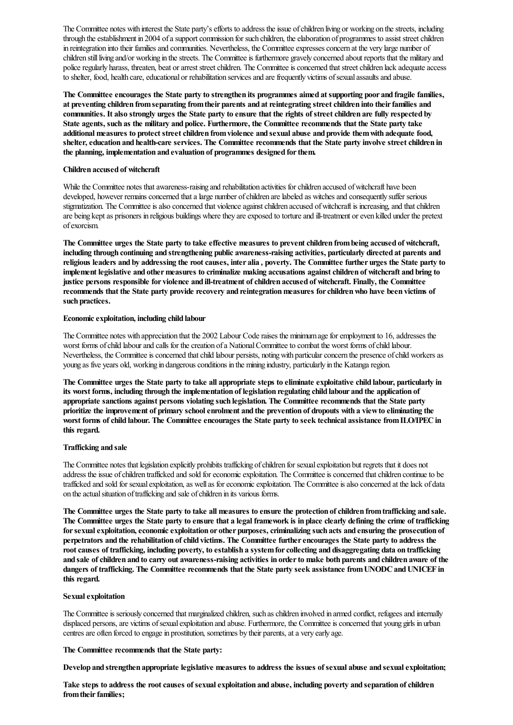The Committee notes with interest the State party's efforts to address the issue of children living or working on the streets, including through the establishment in 2004 of a support commission for such children, the elaboration of programmes to assist street children in reintegration into their families and communities. Nevertheless, the Committee expresses concern at the very large number of children still living and/or working in the streets. The Committee is furthermore gravely concerned about reports that the military and police regularly harass, threaten, beat or arrest street children. The Committee is concerned that street children lack adequate access to shelter, food, health care, educational or rehabilitation services and are frequently victims of sexual assaults and abuse.

The Committee encourages the State party to strengthen its programmes aimed at supporting poor and fragile families, at preventing children from separating from their parents and at reintegrating street children into their families and communities. It also strongly urges the State party to ensure that the rights of streetchildren are fully respected by State agents, such as the military and police. Furthermore, the Committee recommends that the State party take additional measures to protect street children from violence and sexual abuse and provide them with adequate food, shelter, education and health-care services. The Committee recommends that the State party involve street children in the planning, implementation and evaluation of programmes designed forthem.

#### Children accused of witchcraft

While the Committee notes that awareness-raising and rehabilitation activities for children accused of witchcraft have been developed, however remains concerned that a large number of children are labeled as witches and consequently suffer serious stigmatization. The Committee is also concerned that violence against children accused of witchcraft is increasing, and that children are being kept as prisoners in religious buildings where they are exposed to torture and ill-treatment or even killed under the pretext ofexorcism.

The Committee urges the State party to take effective measures to prevent children from being accused of witchcraft, including through continuing and strengthening public awareness-raising activities, particularly directed at parents and religious leaders and by addressing the rootcauses, inter alia *,* poverty. The Committee further urges the State party to implement legislative and other measures to criminalize making accusations against children of witchcraft and bring to justice persons responsible for violence and ill-treatment of children accused of witchcraft. Finally, the Committee recommends that the State party provide recovery and reintegrationmeasures forchildrenwho have been victims of such practices.

#### Economic exploitation, including child labour

The Committee notes with appreciation that the 2002 Labour Code raises the minimum age for employment to 16, addresses the worst forms of child labour and calls for the creation of a National Committee to combat the worst forms of child labour. Nevertheless, the Committee is concerned that child labour persists, noting with particular concern the presence of child workers as young as five years old, working in dangerous conditions in the mining industry, particularly in the Katanga region.

The Committee urges the State party to take all appropriate steps to eliminate exploitative child labour, particularly in its worst forms, including through the implementation of legislation regulating child labour and the application of appropriate sanctions against persons violating such legislation. The Committee recommends that the State party prioritize the improvement of primary schoolenrolment and the prevention of dropouts with a viewto eliminating the worst forms of child labour. The Committee encourages the State party to seek technical assistance from ILO/IPEC in this regard.

#### Trafficking and sale

The Committee notes that legislation explicitly prohibits trafficking of children for sexual exploitation but regrets that it does not address the issue of children trafficked and sold for economic exploitation. The Committee is concerned that children continue to be trafficked and sold for sexual exploitation, as well as for economic exploitation. The Committee is also concerned at the lack of data on the actual situation of trafficking and sale of children in its various forms.

The Committee urges the State party to take all measures to ensure the protection of children from trafficking and sale. The Committee urges the State party to ensure that a legal framework is in place clearly defining the crime of trafficking for sexual exploitation, economic exploitation or other purposes, criminalizing such acts and ensuring the prosecution of perpetrators and the rehabilitation of child victims. The Committee further encourages the State party to address the root causes of trafficking, including poverty, to establish a system for collecting and disaggregating data on trafficking and sale of children and to carry out awareness-raising activities in order to make both parents and children aware of the dangers of trafficking. The Committee recommends that the State party seek assistance from UNODC and UNICEF in this regard.

#### Sexual exploitation

The Committee is seriously concerned that marginalized children, such as children involved in armed conflict, refugees and internally displaced persons, are victims of sexual exploitation and abuse. Furthermore, the Committee is concerned that young girls in urban centres are often forced to engage in prostitution, sometimes by their parents, at a very early age.

#### The Committee recommends that the State party:

Develop and strengthen appropriate legislative measures to address the issues of sexual abuse and sexual exploitation;

Take steps to address the root causes of sexual exploitation and abuse, including poverty and separation of children from their families: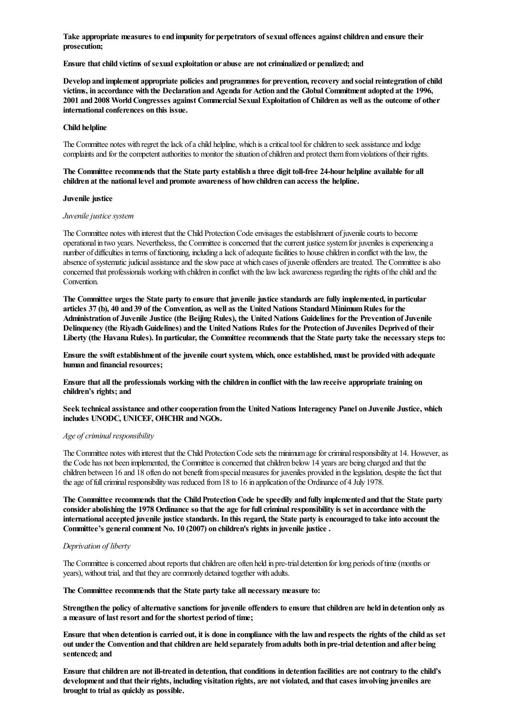Take appropriate measures to end impunity for perpetrators of sexual offences againstchildren and ensure their prosecution;

Ensure that child victims of sexual exploitation or abuse are not criminalized or penalized; and

Develop and implement appropriate policies and programmes for prevention, recovery and social reintegration of child victims, in accordance with the Declaration and Agenda for Action and the Global Commitment adopted at the 1996, 2001 and 2008 WorldCongresses against Commercial Sexual Exploitation of Children as well as the outcome of other international conferences on this issue.

## Child helpline

The Committee notes with regret the lack of a child helpline, which is a critical tool for children to seek assistance and lodge complaints and for the competent authorities to monitor the situation of children and protect them from violations of their rights.

#### The Committee recommends that the State party establish a three digit toll-free 24-hour helpline available for all children at the national level and promote awareness of howchildren can access the helpline.

#### Juvenile justice

#### *Juvenile justice system*

The Committee notes with interest that the Child Protection Code envisages the establishment of juvenile courts to become operational in two years. Nevertheless, the Committee is concerned that the current justice system for juveniles is experiencing a number of difficulties in terms of functioning, including a lack of adequate facilities to house children in conflict with the law, the absence of systematic judicial assistance and the slow pace at which cases of juvenile offenders are treated. The Committee is also concerned that professionals working with children in conflict with the law lack awareness regarding the rights of the child and the Convention.

The Committee urges the State party to ensure that juvenile justice standards are fully implemented, in particular articles 37 (b), 40 and 39 of the Convention, as well as the United Nations Standard Minimum Rules for the Administration of Juvenile Justice (the Beijing Rules), the United Nations Guidelines for the Prevention of Juvenile Delinquency (the Riyadh Guidelines) and the United Nations Rules for the Protection of Juveniles Deprived of their Liberty (the Havana Rules). In particular, the Committee recommends that the State party take the necessary steps to:

Ensure the swift establishment of the juvenile court system, which, once established, must be provided with adequate human and financial resources;

Ensure that all the professionals working with the children in conflict with the lawreceive appropriate training on children's rights; and

Seek technical assistance and other cooperation from the United Nations Interagency Panel on Juvenile Justice, which includes UNODC, UNICEF, OHCHR and NGOs.

#### *Age of criminal responsibility*

The Committee notes with interest that the Child Protection Code sets the minimum age for criminal responsibility at 14. However, as the Code has not been implemented, the Committee is concerned that children below 14 years are being charged and that the children between 16 and 18 often do not benefit from special measures for juveniles provided in the legislation, despite the fact that the age of full criminal responsibility was reduced from 18 to 16 in application of the Ordinance of 4 July 1978.

The Committee recommends that the Child Protection Code be speedily and fully implemented and that the State party consider abolishing the 1978 Ordinance so that the age for full criminal responsibility is set in accordance with the international accepted juvenile justice standards. In this regard, the State party is encouraged to take into account the Committee's general comment No. 10 (2007) on children's rights in juvenile justice.

#### *Deprivation of liberty*

The Committee is concerned about reports that children are often held in pre-trial detention for long periods of time (months or years), without trial, and that they are commonly detained together with adults.

The Committee recommends that the State party take all necessary measure to:

Strengthen the policy of alternative sanctions for juvenile offenders to ensure that children are held in detention only as a measure of last resort and for the shortest period of time;

Ensure that when detention is carried out, it is done in compliance with the lawand respects the rights of the child as set out under the Convention and that children are held separately from adults both in pre-trial detention and after being sentenced; and

Ensure that children are not ill-treated in detention, that conditions in detention facilities are not contrary to the child's development and that their rights, including visitation rights, are not violated, and that cases involving juveniles are brought to trial as quickly as possible.